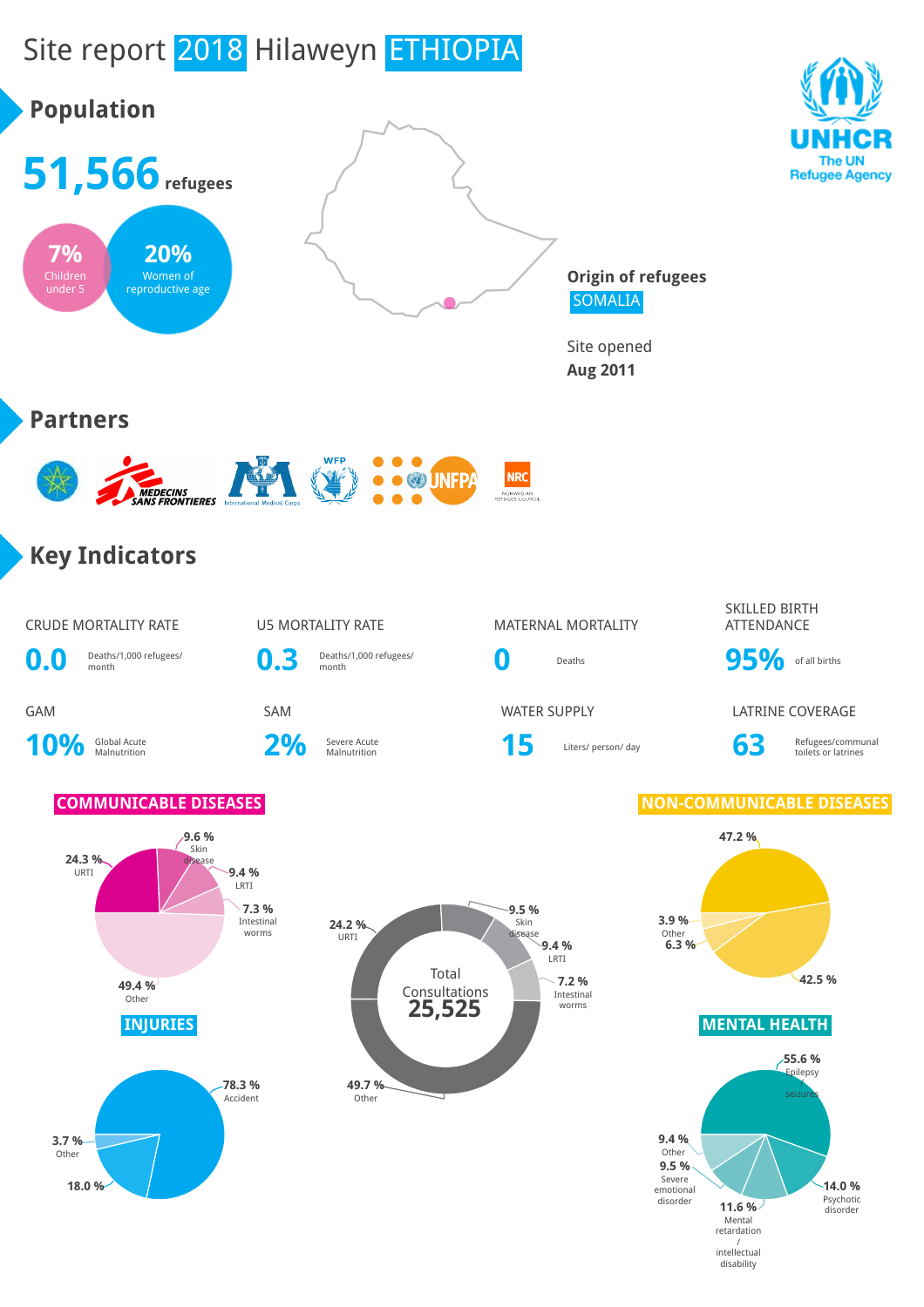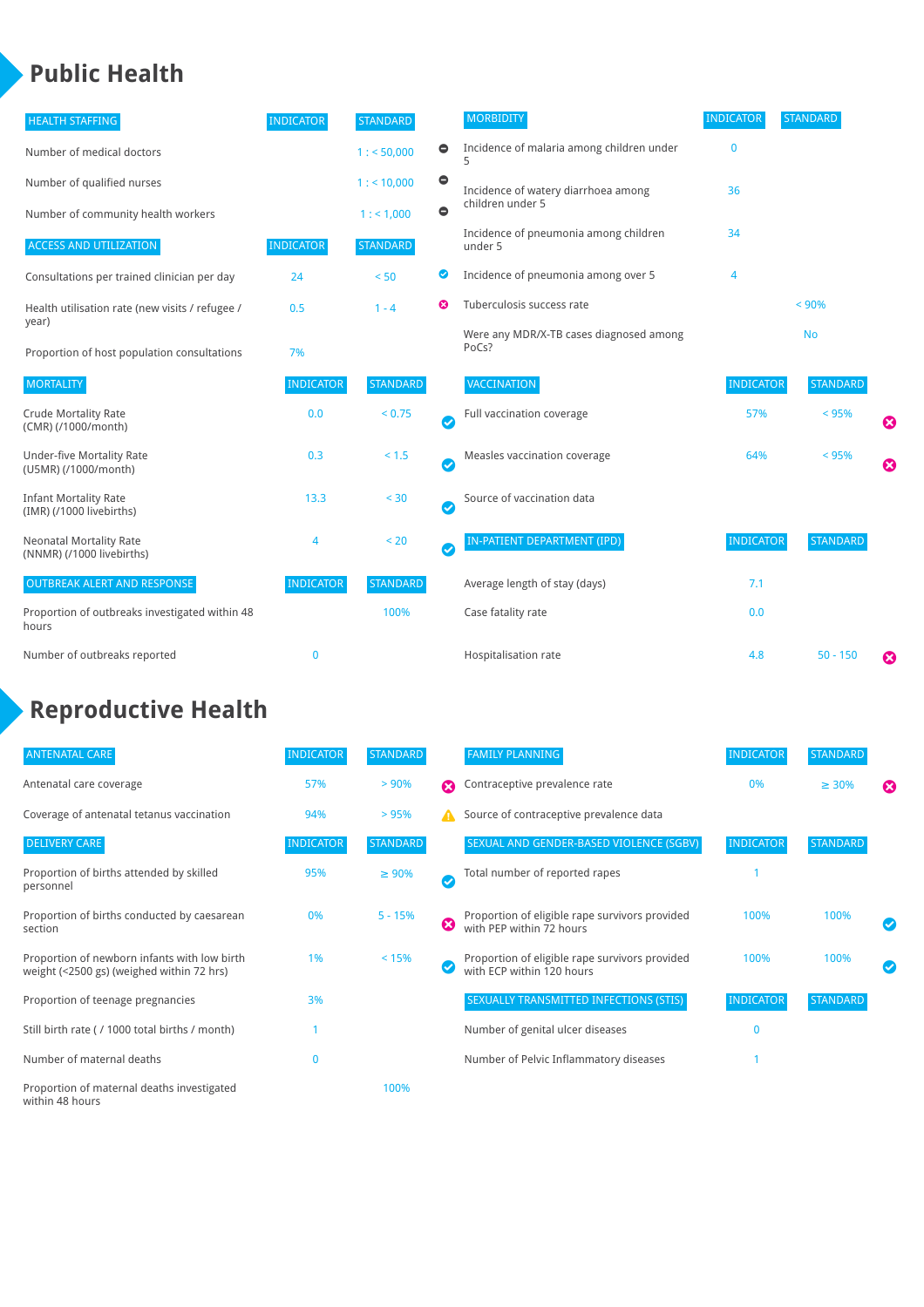### **Public Health**

| <b>HEALTH STAFFING</b>                                      | <b>INDICATOR</b> | <b>STANDARD</b> |           | <b>MORBIDITY</b>                                 | <b>INDICATOR</b> | <b>STANDARD</b> |   |
|-------------------------------------------------------------|------------------|-----------------|-----------|--------------------------------------------------|------------------|-----------------|---|
| Number of medical doctors                                   |                  | 1: 50,000       | $\bullet$ | Incidence of malaria among children under        | $\bf{0}$         |                 |   |
| Number of qualified nurses                                  |                  | 1:10,000        | $\bullet$ | Incidence of watery diarrhoea among              | 36               |                 |   |
| Number of community health workers                          |                  | 1: 1,000        | $\bullet$ | children under 5                                 |                  |                 |   |
| <b>ACCESS AND UTILIZATION</b>                               | <b>INDICATOR</b> | <b>STANDARD</b> |           | Incidence of pneumonia among children<br>under 5 | 34               |                 |   |
| Consultations per trained clinician per day                 | 24               | < 50            | Ø         | Incidence of pneumonia among over 5              | 4                |                 |   |
| Health utilisation rate (new visits / refugee /             | 0.5              | $1 - 4$         | ణ         | Tuberculosis success rate                        |                  | < 90%           |   |
| year)<br>Proportion of host population consultations        | 7%               |                 |           | Were any MDR/X-TB cases diagnosed among<br>PoCs? |                  | <b>No</b>       |   |
| <b>MORTALITY</b>                                            | <b>INDICATOR</b> | <b>STANDARD</b> |           | <b>VACCINATION</b>                               | <b>INDICATOR</b> | <b>STANDARD</b> |   |
| <b>Crude Mortality Rate</b><br>(CMR) (/1000/month)          | 0.0              | < 0.75          | Ø         | Full vaccination coverage                        | 57%              | < 95%           | ೞ |
| <b>Under-five Mortality Rate</b><br>(U5MR) (/1000/month)    | 0.3              | < 1.5           | Ø         | Measles vaccination coverage                     | 64%              | < 95%           | Ø |
| <b>Infant Mortality Rate</b><br>(IMR) (/1000 livebirths)    | 13.3             | < 30            | $\bullet$ | Source of vaccination data                       |                  |                 |   |
| <b>Neonatal Mortality Rate</b><br>(NNMR) (/1000 livebirths) | 4                | < 20            | $\bullet$ | IN-PATIENT DEPARTMENT (IPD)                      | <b>INDICATOR</b> | <b>STANDARD</b> |   |
| <b>OUTBREAK ALERT AND RESPONSE</b>                          | <b>INDICATOR</b> | <b>STANDARD</b> |           | Average length of stay (days)                    | 7.1              |                 |   |
| Proportion of outbreaks investigated within 48<br>hours     |                  | 100%            |           | Case fatality rate                               | 0.0              |                 |   |
| Number of outbreaks reported                                | $\mathbf 0$      |                 |           | Hospitalisation rate                             | 4.8              | $50 - 150$      | ೞ |

# **Reproductive Health**

| <b>ANTENATAL CARE</b>                                                                     | <b>INDICATOR</b> | <b>STANDARD</b> |                       | <b>FAMILY PLANNING</b>                                                      | <b>INDICATOR</b> | <b>STANDARD</b> |                       |
|-------------------------------------------------------------------------------------------|------------------|-----------------|-----------------------|-----------------------------------------------------------------------------|------------------|-----------------|-----------------------|
| Antenatal care coverage                                                                   | 57%              | > 90%           | Ω                     | Contraceptive prevalence rate                                               | 0%               | $\geq 30\%$     | $\boldsymbol{\omega}$ |
| Coverage of antenatal tetanus vaccination                                                 | 94%              | >95%            | А                     | Source of contraceptive prevalence data                                     |                  |                 |                       |
| <b>DELIVERY CARE</b>                                                                      | <b>INDICATOR</b> | <b>STANDARD</b> |                       | SEXUAL AND GENDER-BASED VIOLENCE (SGBV)                                     | <b>INDICATOR</b> | <b>STANDARD</b> |                       |
| Proportion of births attended by skilled<br>personnel                                     | 95%              | $\geq 90\%$     | $\checkmark$          | Total number of reported rapes                                              |                  |                 |                       |
| Proportion of births conducted by caesarean<br>section                                    | 0%               | $5 - 15%$       | $\boldsymbol{\Omega}$ | Proportion of eligible rape survivors provided<br>with PEP within 72 hours  | 100%             | 100%            |                       |
| Proportion of newborn infants with low birth<br>weight (<2500 gs) (weighed within 72 hrs) | 1%               | < 15%           |                       | Proportion of eligible rape survivors provided<br>with ECP within 120 hours | 100%             | 100%            |                       |
| Proportion of teenage pregnancies                                                         | 3%               |                 |                       | SEXUALLY TRANSMITTED INFECTIONS (STIS)                                      | <b>INDICATOR</b> | <b>STANDARD</b> |                       |
| Still birth rate (/ 1000 total births / month)                                            |                  |                 |                       | Number of genital ulcer diseases                                            | $\mathbf{0}$     |                 |                       |
| Number of maternal deaths                                                                 | $\mathbf{0}$     |                 |                       | Number of Pelvic Inflammatory diseases                                      |                  |                 |                       |
| Proportion of maternal deaths investigated<br>within 48 hours                             |                  | 100%            |                       |                                                                             |                  |                 |                       |